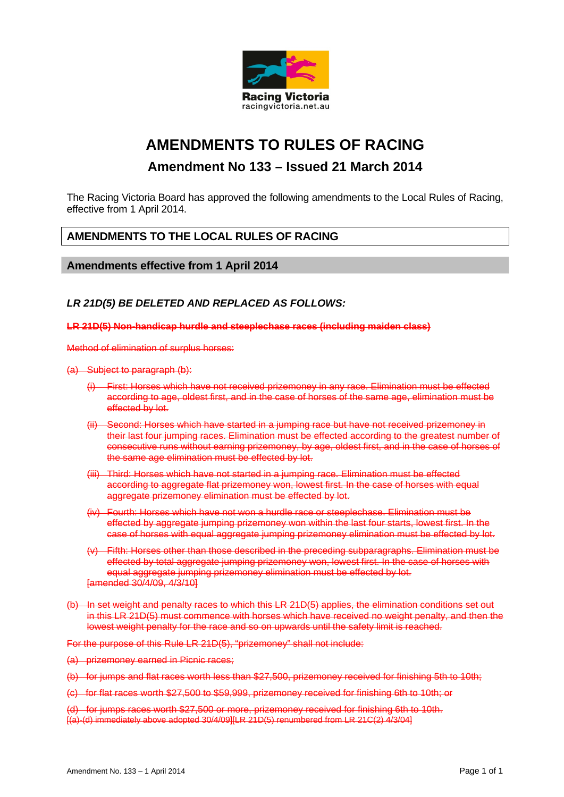

# **AMENDMENTS TO RULES OF RACING**

## **Amendment No 133 – Issued 21 March 2014**

The Racing Victoria Board has approved the following amendments to the Local Rules of Racing, effective from 1 April 2014.

## **AMENDMENTS TO THE LOCAL RULES OF RACING**

## **Amendments effective from 1 April 2014**

### *LR 21D(5) BE DELETED AND REPLACED AS FOLLOWS:*

#### **LR 21D(5) Non-handicap hurdle and steeplechase races (including maiden class)**

Method of elimination of surplus horses:

#### (a) Subject to paragraph (b):

- (i) First: Horses which have not received prizemoney in any race. Elimination must be effected according to age, oldest first, and in the case of horses of the same age, elimination must be effected by lot.
- (ii) Second: Horses which have started in a jumping race but have not received prizemoney in their last four jumping races. Elimination must be effected according to the greatest number of consecutive runs without earning prizemoney, by age, oldest first, and in the case of horses of the same age elimination must be effected by lot.
- (iii) Third: Horses which have not started in a jumping race. Elimination must be effected according to aggregate flat prizemoney won, lowest first. In the case of horses with equal aggregate prizemoney elimination must be effected by lot.
- (iv) Fourth: Horses which have not won a hurdle race or steeplechase. Elimination must be effected by aggregate jumping prizemoney won within the last four starts, lowest first. In the case of horses with equal aggregate jumping prizemoney elimination must be effected by lot.
- (v) Fifth: Horses other than those described in the preceding subparagraphs. Elimination must be effected by total aggregate jumping prizemoney won, lowest first. In the case of horses with equal aggregate jumping prizemoney elimination must be effected by lot. [amended 30/4/09, 4/3/10]
- (b) In set weight and penalty races to which this LR 21D(5) applies, the elimination conditions set out in this LR 21D(5) must commence with horses which have received no weight penalty, and then the lowest weight penalty for the race and so on upwards until the safety limit is reached.

For the purpose of this Rule LR 21D(5), "prizemoney" shall not include:

- (a) prizemoney earned in Picnic races;
- (b) for jumps and flat races worth less than \$27,500, prizemoney received for finishing 5th to 10th;
- (c) for flat races worth \$27,500 to \$59,999, prizemoney received for finishing 6th to 10th; or

(d) for jumps races worth \$27,500 or more, prizemoney received for finishing 6th to 10th.  $[(a)-(d)$  immediately above adopted 30/4/09 $][LR 21D(5)$  renumbered from LR 21C(2)  $\overline{4}/3/04]$